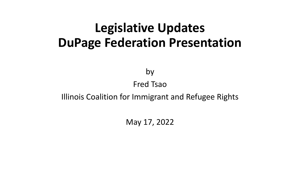## **Legislative Updates DuPage Federation Presentation**

by

#### Fred Tsao

#### Illinois Coalition for Immigrant and Refugee Rights

May 17, 2022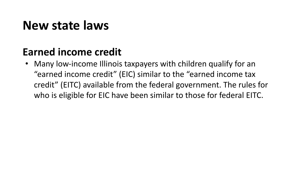### **Earned income credit**

• Many low-income Illinois taxpayers with children qualify for an "earned income credit" (EIC) similar to the "earned income tax credit" (EITC) available from the federal government. The rules for who is eligible for EIC have been similar to those for federal EITC.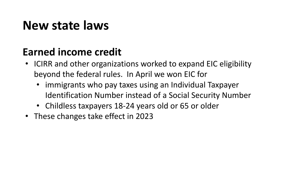### **Earned income credit**

- ICIRR and other organizations worked to expand EIC eligibility beyond the federal rules. In April we won EIC for
	- immigrants who pay taxes using an Individual Taxpayer Identification Number instead of a Social Security Number
	- Childless taxpayers 18-24 years old or 65 or older
- These changes take effect in 2023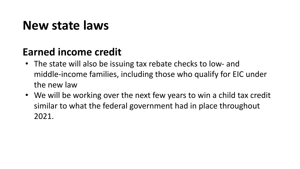### **Earned income credit**

- The state will also be issuing tax rebate checks to low- and middle-income families, including those who qualify for EIC under the new law
- We will be working over the next few years to win a child tax credit similar to what the federal government had in place throughout 2021.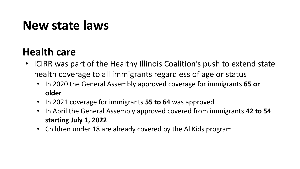### **Health care**

- ICIRR was part of the Healthy Illinois Coalition's push to extend state health coverage to all immigrants regardless of age or status
	- In 2020 the General Assembly approved coverage for immigrants **65 or older**
	- In 2021 coverage for immigrants **55 to 64** was approved
	- In April the General Assembly approved covered from immigrants **42 to 54 starting July 1, 2022**
	- Children under 18 are already covered by the AllKids program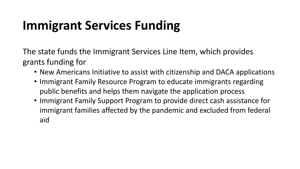# **Immigrant Services Funding**

The state funds the Immigrant Services Line Item, which provides grants funding for

- New Americans Initiative to assist with citizenship and DACA applications
- Immigrant Family Resource Program to educate immigrants regarding public benefits and helps them navigate the application process
- Immigrant Family Support Program to provide direct cash assistance for immigrant families affected by the pandemic and excluded from federal aid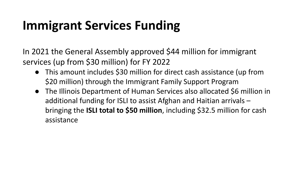# **Immigrant Services Funding**

In 2021 the General Assembly approved \$44 million for immigrant services (up from \$30 million) for FY 2022

- This amount includes \$30 million for direct cash assistance (up from \$20 million) through the Immigrant Family Support Program
- The Illinois Department of Human Services also allocated \$6 million in additional funding for ISLI to assist Afghan and Haitian arrivals – bringing the **ISLI total to \$50 million**, including \$32.5 million for cash assistance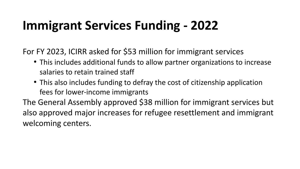# **Immigrant Services Funding - 2022**

For FY 2023, ICIRR asked for \$53 million for immigrant services

- This includes additional funds to allow partner organizations to increase salaries to retain trained staff
- This also includes funding to defray the cost of citizenship application fees for lower-income immigrants

The General Assembly approved \$38 million for immigrant services but also approved major increases for refugee resettlement and immigrant welcoming centers.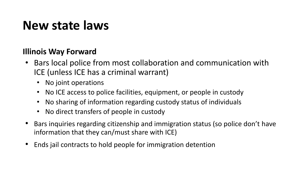#### **Illinois Way Forward**

- Bars local police from most collaboration and communication with ICE (unless ICE has a criminal warrant)
	- No joint operations
	- No ICE access to police facilities, equipment, or people in custody
	- No sharing of information regarding custody status of individuals
	- No direct transfers of people in custody
- Bars inquiries regarding citizenship and immigration status (so police don't have information that they can/must share with ICE)
- Ends jail contracts to hold people for immigration detention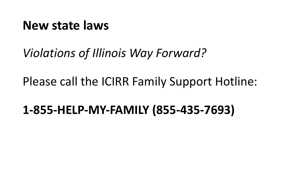*Violations of Illinois Way Forward?*

Please call the ICIRR Family Support Hotline:

**1-855-HELP-MY-FAMILY (855-435-7693)**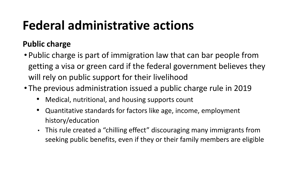#### **Public charge**

- Public charge is part of immigration law that can bar people from getting a visa or green card if the federal government believes they will rely on public support for their livelihood
- The previous administration issued a public charge rule in 2019
	- Medical, nutritional, and housing supports count
	- Quantitative standards for factors like age, income, employment history/education
	- This rule created a "chilling effect" discouraging many immigrants from seeking public benefits, even if they or their family members are eligible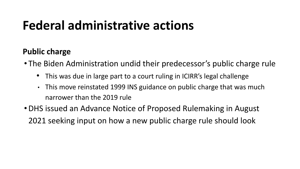#### **Public charge**

- The Biden Administration undid their predecessor's public charge rule
	- This was due in large part to a court ruling in ICIRR's legal challenge
	- This move reinstated 1999 INS guidance on public charge that was much narrower than the 2019 rule
- •DHS issued an Advance Notice of Proposed Rulemaking in August 2021 seeking input on how a new public charge rule should look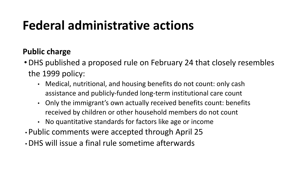#### **Public charge**

- •DHS published a proposed rule on February 24 that closely resembles the 1999 policy:
	- Medical, nutritional, and housing benefits do not count: only cash assistance and publicly-funded long-term institutional care count
	- Only the immigrant's own actually received benefits count: benefits received by children or other household members do not count
	- No quantitative standards for factors like age or income
- Public comments were accepted through April 25
- •DHS will issue a final rule sometime afterwards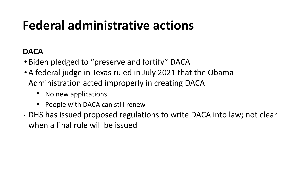#### **DACA**

- Biden pledged to "preserve and fortify" DACA
- •A federal judge in Texas ruled in July 2021 that the Obama Administration acted improperly in creating DACA
	- No new applications
	- People with DACA can still renew
- DHS has issued proposed regulations to write DACA into law; not clear when a final rule will be issued